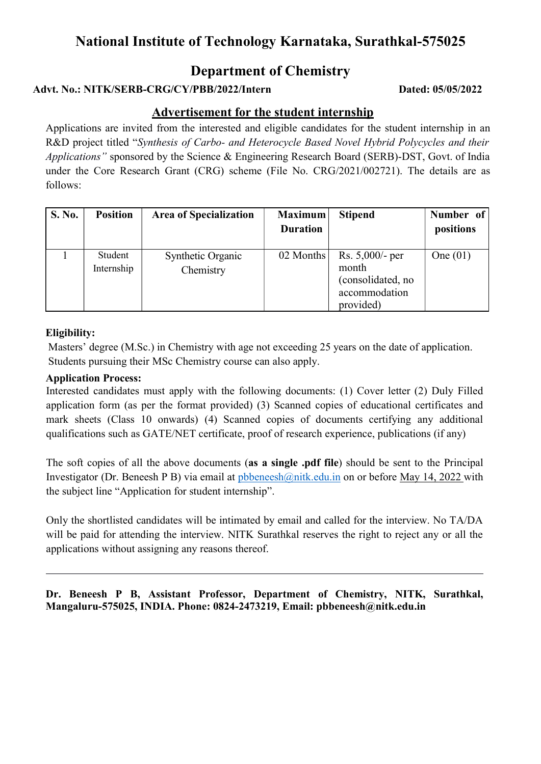## National Institute of Technology Karnataka, Surathkal-575025

## Department of Chemistry

### Advt. No.: NITK/SERB-CRG/CY/PBB/2022/Intern Dated: 05/05/2022

### Advertisement for the student internship

Applications are invited from the interested and eligible candidates for the student internship in an R&D project titled "Synthesis of Carbo- and Heterocycle Based Novel Hybrid Polycycles and their Applications" sponsored by the Science & Engineering Research Board (SERB)-DST, Govt. of India under the Core Research Grant (CRG) scheme (File No. CRG/2021/002721). The details are as follows:

| S. No. | <b>Position</b>       | <b>Area of Specialization</b>  | <b>Maximum</b><br><b>Duration</b> | <b>Stipend</b>                                                                | Number of<br>positions |
|--------|-----------------------|--------------------------------|-----------------------------------|-------------------------------------------------------------------------------|------------------------|
|        | Student<br>Internship | Synthetic Organic<br>Chemistry | 02 Months                         | Rs. $5,000$ - per<br>month<br>(consolidated, no<br>accommodation<br>provided) | One $(01)$             |

#### Eligibility:

 Masters' degree (M.Sc.) in Chemistry with age not exceeding 25 years on the date of application. Students pursuing their MSc Chemistry course can also apply.

#### Application Process:

Interested candidates must apply with the following documents: (1) Cover letter (2) Duly Filled application form (as per the format provided) (3) Scanned copies of educational certificates and mark sheets (Class 10 onwards) (4) Scanned copies of documents certifying any additional qualifications such as GATE/NET certificate, proof of research experience, publications (if any)

The soft copies of all the above documents (as a single .pdf file) should be sent to the Principal Investigator (Dr. Beneesh P B) via email at pbbeneesh@nitk.edu.in on or before May 14, 2022 with the subject line "Application for student internship".

Only the shortlisted candidates will be intimated by email and called for the interview. No TA/DA will be paid for attending the interview. NITK Surathkal reserves the right to reject any or all the applications without assigning any reasons thereof.

Dr. Beneesh P B, Assistant Professor, Department of Chemistry, NITK, Surathkal, Mangaluru-575025, INDIA. Phone: 0824-2473219, Email: pbbeneesh@nitk.edu.in